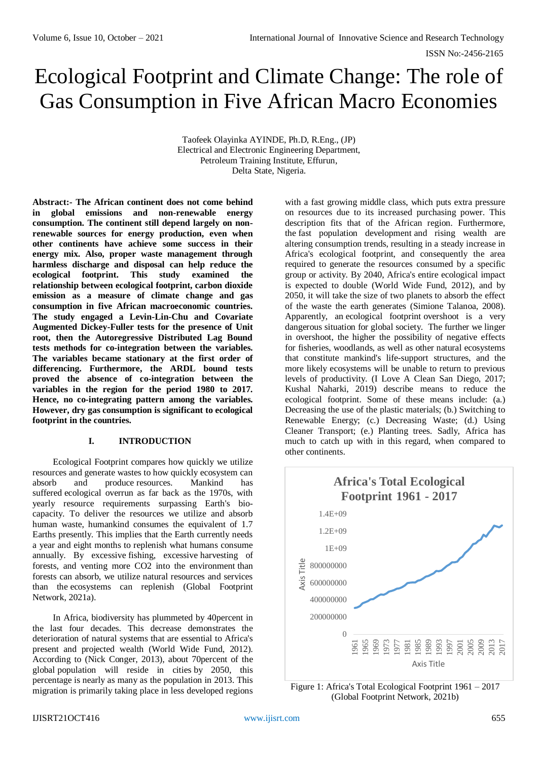# Ecological Footprint and Climate Change: The role of Gas Consumption in Five African Macro Economies

Taofeek Olayinka AYINDE, Ph.D, R.Eng., (JP) Electrical and Electronic Engineering Department, Petroleum Training Institute, Effurun, Delta State, Nigeria.

**Abstract:- The African continent does not come behind in global emissions and non-renewable energy consumption. The continent still depend largely on nonrenewable sources for energy production, even when other continents have achieve some success in their energy mix. Also, proper waste management through harmless discharge and disposal can help reduce the ecological footprint. This study examined the relationship between ecological footprint, carbon dioxide emission as a measure of climate change and gas consumption in five African macroeconomic countries. The study engaged a Levin-Lin-Chu and Covariate Augmented Dickey-Fuller tests for the presence of Unit root, then the Autoregressive Distributed Lag Bound tests methods for co-integration between the variables. The variables became stationary at the first order of differencing. Furthermore, the ARDL bound tests proved the absence of co-integration between the variables in the region for the period 1980 to 2017. Hence, no co-integrating pattern among the variables. However, dry gas consumption is significant to ecological footprint in the countries.** 

# **I. INTRODUCTION**

Ecological Footprint compares how quickly we utilize resources and generate wastes to how quickly ecosystem can absorb and produce resources. Mankind has suffered ecological overrun as far back as the 1970s, with yearly resource requirements surpassing Earth's biocapacity. To deliver the resources we utilize and absorb human waste, humankind consumes the equivalent of 1.7 Earths presently. This implies that the Earth currently needs a year and eight months to replenish what humans consume annually. By excessive fishing, excessive harvesting of forests, and venting more CO2 into the environment than forests can absorb, we utilize natural resources and services than the ecosystems can replenish (Global Footprint Network, 2021a).

In Africa, biodiversity has plummeted by 40percent in the last four decades. This decrease demonstrates the deterioration of natural systems that are essential to Africa's present and projected wealth (World Wide Fund, 2012). According to (Nick Conger, 2013), about 70percent of the global population will reside in cities by 2050, this percentage is nearly as many as the population in 2013. This migration is primarily taking place in less developed regions

with a fast growing middle class, which puts extra pressure on resources due to its increased purchasing power. This description fits that of the African region. Furthermore, the fast population development and rising wealth are altering consumption trends, resulting in a steady increase in Africa's ecological footprint, and consequently the area required to generate the resources consumed by a specific group or activity. By 2040, Africa's entire ecological impact is expected to double (World Wide Fund, 2012), and by 2050, it will take the size of two planets to absorb the effect of the waste the earth generates (Simione Talanoa, 2008). Apparently, an ecological footprint overshoot is a very dangerous situation for global society. The further we linger in overshoot, the higher the possibility of negative effects for fisheries, woodlands, as well as other natural ecosystems that constitute mankind's life-support structures, and the more likely ecosystems will be unable to return to previous levels of productivity. (I Love A Clean San Diego, 2017; Kushal Naharki, 2019) describe means to reduce the ecological footprint. Some of these means include: (a.) Decreasing the use of the plastic materials; (b.) Switching to Renewable Energy; (c.) Decreasing Waste; (d.) Using Cleaner Transport; (e.) Planting trees. Sadly, Africa has much to catch up with in this regard, when compared to other continents.



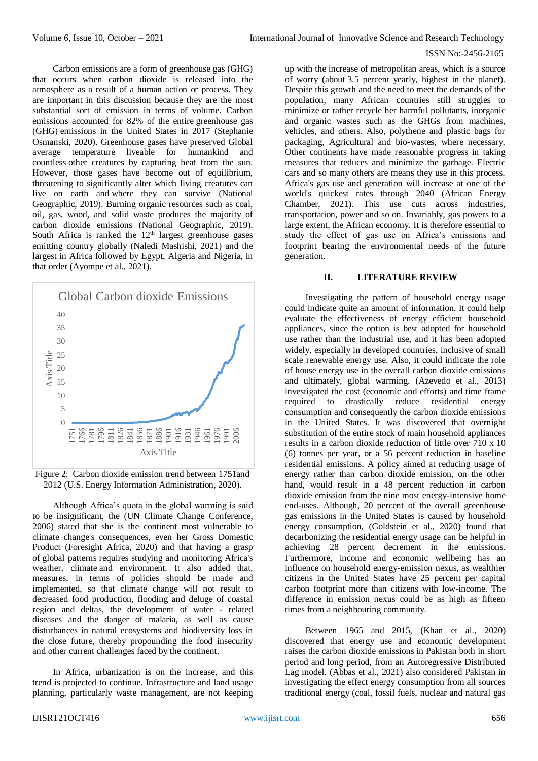Carbon emissions are a form of greenhouse gas (GHG) that occurs when carbon dioxide is released into the atmosphere as a result of a human action or process. They are important in this discussion because they are the most substantial sort of emission in terms of volume. Carbon emissions accounted for 82% of the entire greenhouse gas (GHG) emissions in the United States in 2017 (Stephanie Osmanski, 2020). Greenhouse gases have preserved Global average temperature liveable for humankind and countless other creatures by capturing heat from the sun. However, those gases have become out of equilibrium, threatening to significantly alter which living creatures can live on earth and where they can survive (National Geographic, 2019). Burning organic resources such as coal, oil, gas, wood, and solid waste produces the majority of carbon dioxide emissions (National Geographic, 2019). South Africa is ranked the  $12<sup>th</sup>$  largest greenhouse gases emitting country globally (Naledi Mashishi, 2021) and the largest in Africa followed by Egypt, Algeria and Nigeria, in that order (Ayompe et al., 2021).



Figure 2: Carbon dioxide emission trend between 1751and 2012 (U.S. Energy Information Administration, 2020).

Although Africa's quota in the global warming is said to be insignificant, the (UN Climate Change Conference, 2006) stated that she is the continent most vulnerable to climate change's consequences, even her Gross Domestic Product (Foresight Africa, 2020) and that having a grasp of global patterns requires studying and monitoring Africa's weather, climate and environment. It also added that, measures, in terms of policies should be made and implemented, so that climate change will not result to decreased food production, flooding and deluge of coastal region and deltas, the development of water - related diseases and the danger of malaria, as well as cause disturbances in natural ecosystems and biodiversity loss in the close future, thereby propounding the food insecurity and other current challenges faced by the continent.

In Africa, urbanization is on the increase, and this trend is projected to continue. Infrastructure and land usage planning, particularly waste management, are not keeping

up with the increase of metropolitan areas, which is a source of worry (about 3.5 percent yearly, highest in the planet). Despite this growth and the need to meet the demands of the population, many African countries still struggles to minimize or rather recycle her harmful pollutants, inorganic and organic wastes such as the GHGs from machines, vehicles, and others. Also, polythene and plastic bags for packaging, Agricultural and bio-wastes, where necessary. Other continents have made reasonable progress in taking measures that reduces and minimize the garbage. Electric cars and so many others are means they use in this process. Africa's gas use and generation will increase at one of the world's quickest rates through 2040 (African Energy Chamber, 2021). This use cuts across industries, transportation, power and so on. Invariably, gas powers to a large extent, the African economy. It is therefore essential to study the effect of gas use on Africa's emissions and footprint bearing the environmental needs of the future generation.

# **II. LITERATURE REVIEW**

Investigating the pattern of household energy usage could indicate quite an amount of information. It could help evaluate the effectiveness of energy efficient household appliances, since the option is best adopted for household use rather than the industrial use, and it has been adopted widely, especially in developed countries, inclusive of small scale renewable energy use. Also, it could indicate the role of house energy use in the overall carbon dioxide emissions and ultimately, global warming. (Azevedo et al., 2013) investigated the cost (economic and efforts) and time frame required to drastically reduce residential energy consumption and consequently the carbon dioxide emissions in the United States. It was discovered that overnight substitution of the entire stock of main household appliances results in a carbon dioxide reduction of little over 710 x 10 (6) tonnes per year, or a 56 percent reduction in baseline residential emissions. A policy aimed at reducing usage of energy rather than carbon dioxide emission, on the other hand, would result in a 48 percent reduction in carbon dioxide emission from the nine most energy-intensive home end-uses. Although, 20 percent of the overall greenhouse gas emissions in the United States is caused by household energy consumption, (Goldstein et al., 2020) found that decarbonizing the residential energy usage can be helpful in achieving 28 percent decrement in the emissions. Furthermore, income and economic wellbeing has an influence on household energy-emission nexus, as wealthier citizens in the United States have 25 percent per capital carbon footprint more than citizens with low-income. The difference in emission nexus could be as high as fifteen times from a neighbouring community.

Between 1965 and 2015, (Khan et al., 2020) discovered that energy use and economic development raises the carbon dioxide emissions in Pakistan both in short period and long period, from an Autoregressive Distributed Lag model. (Abbas et al., 2021) also considered Pakistan in investigating the effect energy consumption from all sources traditional energy (coal, fossil fuels, nuclear and natural gas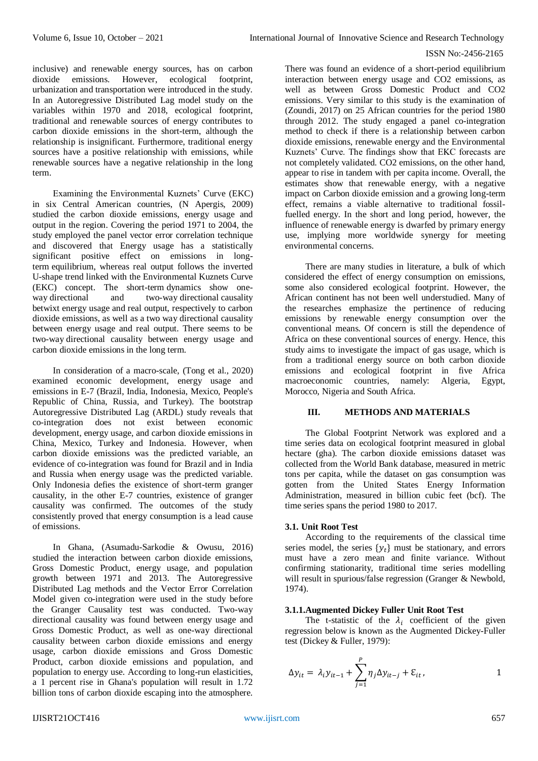inclusive) and renewable energy sources, has on carbon dioxide emissions. However, ecological footprint, urbanization and transportation were introduced in the study. In an Autoregressive Distributed Lag model study on the variables within 1970 and 2018, ecological footprint, traditional and renewable sources of energy contributes to carbon dioxide emissions in the short-term, although the relationship is insignificant. Furthermore, traditional energy sources have a positive relationship with emissions, while renewable sources have a negative relationship in the long term.

Examining the Environmental Kuznets' Curve (EKC) in six Central American countries, (N Apergis, 2009) studied the carbon dioxide emissions, energy usage and output in the region. Covering the period 1971 to 2004, the study employed the panel vector error correlation technique and discovered that Energy usage has a statistically significant positive effect on emissions in longterm equilibrium, whereas real output follows the inverted U-shape trend linked with the Environmental Kuznets Curve (EKC) concept. The short-term dynamics show oneway directional and two-way directional causality betwixt energy usage and real output, respectively to carbon dioxide emissions, as well as a two way directional causality between energy usage and real output. There seems to be two-way directional causality between energy usage and carbon dioxide emissions in the long term.

In consideration of a macro-scale, (Tong et al., 2020) examined economic development, energy usage and emissions in E-7 (Brazil, India, Indonesia, Mexico, People's Republic of China, Russia, and Turkey). The bootstrap Autoregressive Distributed Lag (ARDL) study reveals that co-integration does not exist between economic development, energy usage, and carbon dioxide emissions in China, Mexico, Turkey and Indonesia. However, when carbon dioxide emissions was the predicted variable, an evidence of co-integration was found for Brazil and in India and Russia when energy usage was the predicted variable. Only Indonesia defies the existence of short-term granger causality, in the other E-7 countries, existence of granger causality was confirmed. The outcomes of the study consistently proved that energy consumption is a lead cause of emissions.

In Ghana, (Asumadu-Sarkodie & Owusu, 2016) studied the interaction between carbon dioxide emissions, Gross Domestic Product, energy usage, and population growth between 1971 and 2013. The Autoregressive Distributed Lag methods and the Vector Error Correlation Model given co-integration were used in the study before the Granger Causality test was conducted. Two-way directional causality was found between energy usage and Gross Domestic Product, as well as one-way directional causality between carbon dioxide emissions and energy usage, carbon dioxide emissions and Gross Domestic Product, carbon dioxide emissions and population, and population to energy use. According to long-run elasticities, a 1 percent rise in Ghana's population will result in 1.72 billion tons of carbon dioxide escaping into the atmosphere.

There was found an evidence of a short-period equilibrium interaction between energy usage and CO2 emissions, as well as between Gross Domestic Product and CO2 emissions. Very similar to this study is the examination of (Zoundi, 2017) on 25 African countries for the period 1980 through 2012. The study engaged a panel co-integration method to check if there is a relationship between carbon dioxide emissions, renewable energy and the Environmental Kuznets' Curve. The findings show that EKC forecasts are not completely validated. CO2 emissions, on the other hand, appear to rise in tandem with per capita income. Overall, the estimates show that renewable energy, with a negative impact on Carbon dioxide emission and a growing long-term effect, remains a viable alternative to traditional fossilfuelled energy. In the short and long period, however, the influence of renewable energy is dwarfed by primary energy use, implying more worldwide synergy for meeting environmental concerns.

There are many studies in literature, a bulk of which considered the effect of energy consumption on emissions, some also considered ecological footprint. However, the African continent has not been well understudied. Many of the researches emphasize the pertinence of reducing emissions by renewable energy consumption over the conventional means. Of concern is still the dependence of Africa on these conventional sources of energy. Hence, this study aims to investigate the impact of gas usage, which is from a traditional energy source on both carbon dioxide emissions and ecological footprint in five Africa macroeconomic countries, namely: Algeria, Egypt, Morocco, Nigeria and South Africa.

# **III. METHODS AND MATERIALS**

The Global Footprint Network was explored and a time series data on ecological footprint measured in global hectare (gha). The carbon dioxide emissions dataset was collected from the World Bank database, measured in metric tons per capita, while the dataset on gas consumption was gotten from the United States Energy Information Administration, measured in billion cubic feet (bcf). The time series spans the period 1980 to 2017.

#### **3.1. Unit Root Test**

According to the requirements of the classical time series model, the series  $\{y_t\}$  must be stationary, and errors must have a zero mean and finite variance. Without confirming stationarity, traditional time series modelling will result in spurious/false regression (Granger & Newbold, 1974).

# **3.1.1.Augmented Dickey Fuller Unit Root Test**

The t-statistic of the  $\lambda_i$  coefficient of the given regression below is known as the Augmented Dickey-Fuller test (Dickey & Fuller, 1979):

$$
\Delta y_{it} = \lambda_i y_{it-1} + \sum_{j=1}^P \eta_j \Delta y_{it-j} + \varepsilon_{it},
$$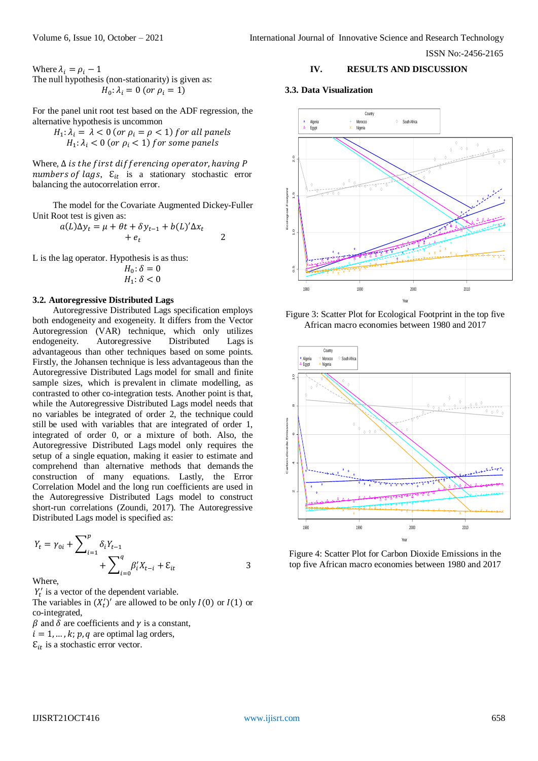Where  $\lambda_i = \rho_i - 1$ The null hypothesis (non-stationarity) is given as:  $H_0: \lambda_i = 0 \ (or \ \rho_i = 1)$ 

For the panel unit root test based on the ADF regression, the alternative hypothesis is uncommon

$$
H_1: \lambda_i = \lambda < 0 \text{ (or } \rho_i = \rho < 1 \text{) for all panels}
$$
\n
$$
H_1: \lambda_i < 0 \text{ (or } \rho_i < 1 \text{) for some panels}
$$

Where,  $\Delta$  is the first differencing operator, having P numbers of lags,  $\mathcal{E}_{it}$  is a stationary stochastic error balancing the autocorrelation error.

The model for the Covariate Augmented Dickey-Fuller Unit Root test is given as:

$$
a(L)\Delta y_t = \mu + \theta t + \delta y_{t-1} + b(L)' \Delta x_t + e_t \qquad 2
$$

L is the lag operator. Hypothesis is as thus:

$$
H_0: \delta = 0
$$
  

$$
H_1: \delta < 0
$$

#### **3.2. Autoregressive Distributed Lags**

Autoregressive Distributed Lags specification employs both endogeneity and exogeneity. It differs from the Vector Autoregression (VAR) technique, which only utilizes endogeneity. Autoregressive Distributed Lags is advantageous than other techniques based on some points. Firstly, the Johansen technique is less advantageous than the Autoregressive Distributed Lags model for small and finite sample sizes, which is prevalent in climate modelling, as contrasted to other co-integration tests. Another point is that, while the Autoregressive Distributed Lags model needs that no variables be integrated of order 2, the technique could still be used with variables that are integrated of order 1, integrated of order 0, or a mixture of both. Also, the Autoregressive Distributed Lags model only requires the setup of a single equation, making it easier to estimate and comprehend than alternative methods that demands the construction of many equations. Lastly, the Error Correlation Model and the long run coefficients are used in the Autoregressive Distributed Lags model to construct short-run correlations (Zoundi, 2017). The Autoregressive Distributed Lags model is specified as:

$$
Y_{t} = \gamma_{0i} + \sum_{i=1}^{p} \delta_{i} Y_{t-1} + \sum_{i=0}^{q} \beta'_{i} X_{t-i} + \varepsilon_{it}
$$

Where

 $Y_t'$  is a vector of the dependent variable.

The variables in  $(X_t')'$  are allowed to be only  $I(0)$  or  $I(1)$  or co-integrated,  $\beta$  and  $\delta$  are coefficients and  $\gamma$  is a constant,

 $i = 1, ..., k; p, q$  are optimal lag orders,

# $\mathcal{E}_{it}$  is a stochastic error vector.

# **IV. RESULTS AND DISCUSSION**

#### **3.3. Data Visualization**







Figure 4: Scatter Plot for Carbon Dioxide Emissions in the top five African macro economies between 1980 and 2017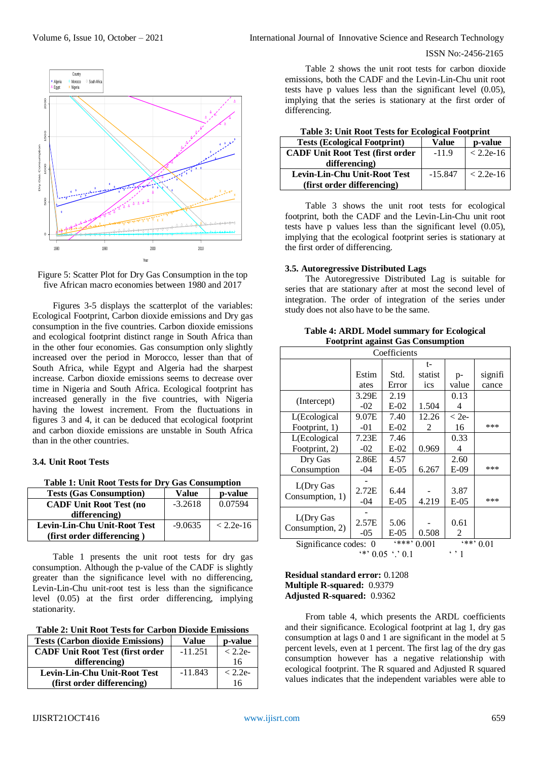



Figures 3-5 displays the scatterplot of the variables: Ecological Footprint, Carbon dioxide emissions and Dry gas consumption in the five countries. Carbon dioxide emissions and ecological footprint distinct range in South Africa than in the other four economies. Gas consumption only slightly increased over the period in Morocco, lesser than that of South Africa, while Egypt and Algeria had the sharpest increase. Carbon dioxide emissions seems to decrease over time in Nigeria and South Africa. Ecological footprint has increased generally in the five countries, with Nigeria having the lowest increment. From the fluctuations in figures 3 and 4, it can be deduced that ecological footprint and carbon dioxide emissions are unstable in South Africa than in the other countries.

#### **3.4. Unit Root Tests**

**Table 1: Unit Root Tests for Dry Gas Consumption**

| <b>Tests (Gas Consumption)</b>      | Value     | p-value     |
|-------------------------------------|-----------|-------------|
| <b>CADF Unit Root Test (no</b>      | $-3.2618$ | 0.07594     |
| differencing)                       |           |             |
| <b>Levin-Lin-Chu Unit-Root Test</b> | $-9.0635$ | $< 2.2e-16$ |
| (first order differencing)          |           |             |

Table 1 presents the unit root tests for dry gas consumption. Although the p-value of the CADF is slightly greater than the significance level with no differencing, Levin-Lin-Chu unit-root test is less than the significance level (0.05) at the first order differencing, implying stationarity.

| <b>Tests (Carbon dioxide Emissions)</b> | Value     | p-value   |
|-----------------------------------------|-----------|-----------|
| <b>CADF Unit Root Test (first order</b> | $-11.251$ | $< 2.2e-$ |
| differencing)                           |           | 16        |
| Levin-Lin-Chu Unit-Root Test            | $-11.843$ | $< 2.2e-$ |
| (first order differencing)              |           | 16        |

Table 2 shows the unit root tests for carbon dioxide emissions, both the CADF and the Levin-Lin-Chu unit root tests have p values less than the significant level (0.05), implying that the series is stationary at the first order of differencing.

| Tuble of Chile Moor Tests for Ecological Toorphilip |           |             |  |  |  |
|-----------------------------------------------------|-----------|-------------|--|--|--|
| <b>Tests (Ecological Footprint)</b>                 | Value     | p-value     |  |  |  |
| <b>CADF Unit Root Test (first order</b>             | $-11.9$   | $< 2.2e-16$ |  |  |  |
| differencing)                                       |           |             |  |  |  |
| <b>Levin-Lin-Chu Unit-Root Test</b>                 | $-15.847$ | $< 2.2e-16$ |  |  |  |
| (first order differencing)                          |           |             |  |  |  |

**Table 3: Unit Root Tests for Ecological Footprint**

Table 3 shows the unit root tests for ecological footprint, both the CADF and the Levin-Lin-Chu unit root tests have p values less than the significant level (0.05), implying that the ecological footprint series is stationary at the first order of differencing.

#### **3.5. Autoregressive Distributed Lags**

The Autoregressive Distributed Lag is suitable for series that are stationary after at most the second level of integration. The order of integration of the series under study does not also have to be the same.

| <b>Table 4: ARDL Model summary for Ecological</b> |  |
|---------------------------------------------------|--|
| <b>Footprint against Gas Consumption</b>          |  |

| Coefficients                                               |       |         |         |         |         |
|------------------------------------------------------------|-------|---------|---------|---------|---------|
|                                                            |       |         | t-      |         |         |
|                                                            | Estim | Std.    | statist | p-      | signifi |
|                                                            | ates  | Error   | ics     | value   | cance   |
|                                                            | 3.29E | 2.19    |         | 0.13    |         |
| (Intercept)                                                | $-02$ | $E-02$  | 1.504   | 4       |         |
| L(Ecological                                               | 9.07E | 7.40    | 12.26   | $<$ 2e- |         |
| Footprint, 1)                                              | $-01$ | $E-02$  | 2       | 16      | ***     |
| L(Ecological                                               | 7.23E | 7.46    |         | 0.33    |         |
| Footprint, 2)                                              | $-02$ | $E-02$  | 0.969   | 4       |         |
| Dry Gas                                                    | 2.86E | 4.57    |         | 2.60    |         |
| Consumption                                                | -04   | $E-05$  | 6.267   | $E-09$  | ***     |
|                                                            |       |         |         |         |         |
| L(Dry Gas                                                  | 2.72E | 6.44    |         | 3.87    |         |
| Consumption, 1)                                            | -04   | $E-05$  | 4.219   | $E-05$  | ***     |
|                                                            |       |         |         |         |         |
| L(Dry Gas<br>Consumption, 2)                               | 2.57E | 5.06    |         | 0.61    |         |
|                                                            | $-05$ | $E-0.5$ | 0.508   | 2       |         |
| $***$ ,<br>$***$<br>0.001<br>Significance codes: 0<br>0.01 |       |         |         |         |         |
| $6 *$<br>$0.05$ $\cdot$ $\cdot$ 0.1<br>$\cdot$ , 1         |       |         |         |         |         |

#### **Residual standard error:** 0.1208 **Multiple R-squared:** 0.9379 **Adjusted R-squared:** 0.9362

From table 4, which presents the ARDL coefficients and their significance. Ecological footprint at lag 1, dry gas consumption at lags 0 and 1 are significant in the model at 5 percent levels, even at 1 percent. The first lag of the dry gas consumption however has a negative relationship with ecological footprint. The R squared and Adjusted R squared values indicates that the independent variables were able to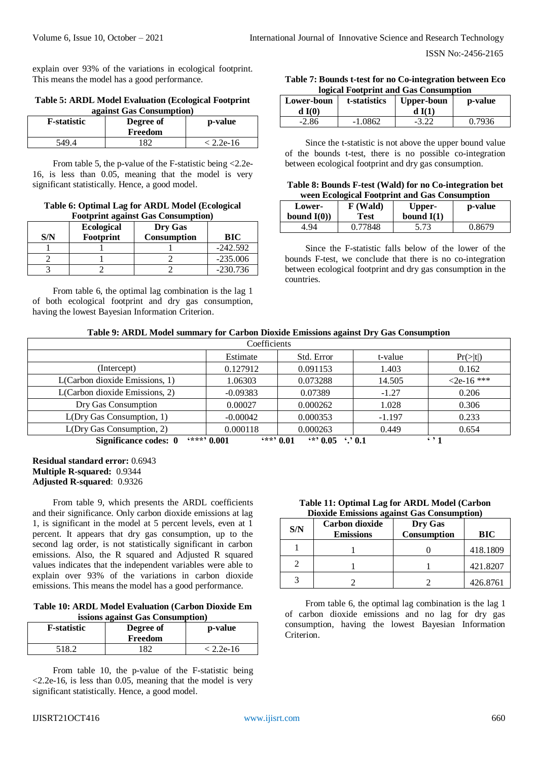explain over 93% of the variations in ecological footprint. This means the model has a good performance.

#### **Table 5: ARDL Model Evaluation (Ecological Footprint against Gas Consumption)**

| <b>F</b> -statistic | Degree of<br>Freedom | p-value     |
|---------------------|----------------------|-------------|
| 549.4               | 182                  | $< 2.2e-16$ |

From table 5, the p-value of the F-statistic being  $\langle 2.2e$ -16, is less than 0.05, meaning that the model is very significant statistically. Hence, a good model.

#### **Table 6: Optimal Lag for ARDL Model (Ecological Footprint against Gas Consumption)**

| S/N | <b>Ecological</b><br>Footprint | Dry Gas<br>Consumption | <b>BIC</b> |
|-----|--------------------------------|------------------------|------------|
|     |                                |                        | $-242.592$ |
|     |                                |                        | $-235.006$ |
|     |                                |                        | $-230.736$ |

From table 6, the optimal lag combination is the lag 1 of both ecological footprint and dry gas consumption, having the lowest Bayesian Information Criterion.

### **Table 7: Bounds t-test for no Co-integration between Eco logical Footprint and Gas Consumption**

| Lower-boun | t-statistics | <b>Upper-boun</b> | p-value |
|------------|--------------|-------------------|---------|
| dI(0)      |              | dI(1)             |         |
| $-2.86$    | $-1.0862$    | $-3.22$           | 0.7936  |

Since the t-statistic is not above the upper bound value of the bounds t-test, there is no possible co-integration between ecological footprint and dry gas consumption.

#### **Table 8: Bounds F-test (Wald) for no Co-integration bet ween Ecological Footprint and Gas Consumption**

| Lower-       | F (Wald) | Upper-       | p-value |
|--------------|----------|--------------|---------|
| bound $I(0)$ | Test     | bound $I(1)$ |         |
| 4.94         | 0.77848  |              | 0.8679  |

Since the F-statistic falls below of the lower of the bounds F-test, we conclude that there is no co-integration between ecological footprint and dry gas consumption in the countries.

# **Table 9: ARDL Model summary for Carbon Dioxide Emissions against Dry Gas Consumption**

| Coefficients                                                                                              |            |            |          |              |
|-----------------------------------------------------------------------------------------------------------|------------|------------|----------|--------------|
|                                                                                                           | Estimate   | Std. Error | t-value  | Pr(> t )     |
| (Intercept)                                                                                               | 0.127912   | 0.091153   | 1.403    | 0.162        |
| L(Carbon dioxide Emissions, 1)                                                                            | 1.06303    | 0.073288   | 14.505   | $<2e-16$ *** |
| L(Carbon dioxide Emissions, 2)                                                                            | $-0.09383$ | 0.07389    | $-1.27$  | 0.206        |
| Dry Gas Consumption                                                                                       | 0.00027    | 0.000262   | 1.028    | 0.306        |
| L(Dry Gas Consumption, 1)                                                                                 | $-0.00042$ | 0.000353   | $-1.197$ | 0.233        |
| L(Dry Gas Consumption, 2)                                                                                 | 0.000118   | 0.000263   | 0.449    | 0.654        |
| <b>6****</b> 0 001<br>$***$ , 0.01<br><u>(*) በ በ5</u><br>Significance codes: 0<br>$\cdots$ 0.1<br>6, 9, 1 |            |            |          |              |

**Significance codes: 0 '\*\*\*' 0.001 '\*\*' 0.01 '\*' 0.05 '.' 0.1 ' ' 1**

# **Residual standard error:** 0.6943 **Multiple R-squared:** 0.9344 **Adjusted R-squared**: 0.9326

From table 9, which presents the ARDL coefficients and their significance. Only carbon dioxide emissions at lag 1, is significant in the model at 5 percent levels, even at 1 percent. It appears that dry gas consumption, up to the second lag order, is not statistically significant in carbon emissions. Also, the R squared and Adjusted R squared values indicates that the independent variables were able to explain over 93% of the variations in carbon dioxide emissions. This means the model has a good performance.

**Table 10: ARDL Model Evaluation (Carbon Dioxide Em issions against Gas Consumption)**

| <b>F</b> -statistic | Degree of<br>Freedom | p-value     |
|---------------------|----------------------|-------------|
| 518.2               | 82.                  | $: 2.2e-16$ |

From table 10, the p-value of the F-statistic being  $\langle 2.2e-16$ , is less than 0.05, meaning that the model is very significant statistically. Hence, a good model.

| Table 11: Optimal Lag for ARDL Model (Carbon       |
|----------------------------------------------------|
| <b>Dioxide Emissions against Gas Consumption</b> ) |

| S/N | <b>Carbon dioxide</b><br><b>Emissions</b> | Dry Gas<br>Consumption | <b>BIC</b> |
|-----|-------------------------------------------|------------------------|------------|
|     |                                           |                        | 418.1809   |
|     |                                           |                        | 421.8207   |
|     |                                           |                        | 426.8761   |

From table 6, the optimal lag combination is the lag 1 of carbon dioxide emissions and no lag for dry gas consumption, having the lowest Bayesian Information Criterion.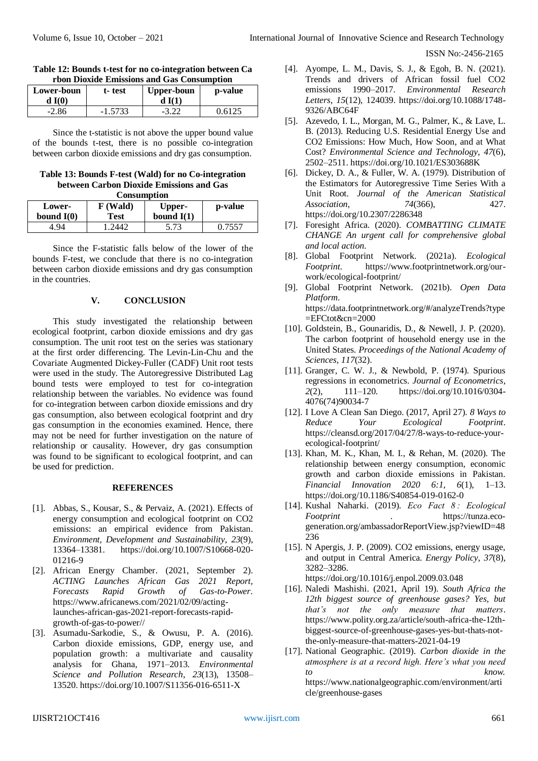| Table 12: Bounds t-test for no co-integration between Ca |  |
|----------------------------------------------------------|--|
| rbon Dioxide Emissions and Gas Consumption               |  |

| Lower-boun<br>dI(0) | t-test    | <b>Upper-boun</b> | p-value |
|---------------------|-----------|-------------------|---------|
| $-2.86$             | $-1.5733$ |                   | 0.6125  |

Since the t-statistic is not above the upper bound value of the bounds t-test, there is no possible co-integration between carbon dioxide emissions and dry gas consumption.

**Table 13: Bounds F-test (Wald) for no Co-integration between Carbon Dioxide Emissions and Gas Consumption**

| $\sim$                 |                  |                        |         |  |  |  |  |
|------------------------|------------------|------------------------|---------|--|--|--|--|
| Lower-<br>bound $I(0)$ | F (Wald)<br>Test | Upper-<br>bound $I(1)$ | p-value |  |  |  |  |
|                        |                  |                        |         |  |  |  |  |
| 4.94                   | .2442            | 5.73                   | 0.7557  |  |  |  |  |

Since the F-statistic falls below of the lower of the bounds F-test, we conclude that there is no co-integration between carbon dioxide emissions and dry gas consumption in the countries.

#### **V. CONCLUSION**

This study investigated the relationship between ecological footprint, carbon dioxide emissions and dry gas consumption. The unit root test on the series was stationary at the first order differencing. The Levin-Lin-Chu and the Covariate Augmented Dickey-Fuller (CADF) Unit root tests were used in the study. The Autoregressive Distributed Lag bound tests were employed to test for co-integration relationship between the variables. No evidence was found for co-integration between carbon dioxide emissions and dry gas consumption, also between ecological footprint and dry gas consumption in the economies examined. Hence, there may not be need for further investigation on the nature of relationship or causality. However, dry gas consumption was found to be significant to ecological footprint, and can be used for prediction.

#### **REFERENCES**

- [1]. Abbas, S., Kousar, S., & Pervaiz, A. (2021). Effects of energy consumption and ecological footprint on CO2 emissions: an empirical evidence from Pakistan. *Environment, Development and Sustainability*, *23*(9), 13364–13381. https://doi.org/10.1007/S10668-020- 01216-9
- [2]. African Energy Chamber. (2021, September 2). *ACTING Launches African Gas 2021 Report, Forecasts Rapid Growth of Gas-to-Power*. https://www.africanews.com/2021/02/09/actinglaunches-african-gas-2021-report-forecasts-rapidgrowth-of-gas-to-power//
- [3]. Asumadu-Sarkodie, S., & Owusu, P. A. (2016). Carbon dioxide emissions, GDP, energy use, and population growth: a multivariate and causality analysis for Ghana, 1971–2013. *Environmental Science and Pollution Research*, *23*(13), 13508– 13520. https://doi.org/10.1007/S11356-016-6511-X
- [4]. Ayompe, L. M., Davis, S. J., & Egoh, B. N. (2021). Trends and drivers of African fossil fuel CO2 emissions 1990–2017. *Environmental Research Letters*, *15*(12), 124039. https://doi.org/10.1088/1748- 9326/ABC64F
- [5]. Azevedo, I. L., Morgan, M. G., Palmer, K., & Lave, L. B. (2013). Reducing U.S. Residential Energy Use and CO2 Emissions: How Much, How Soon, and at What Cost? *Environmental Science and Technology*, *47*(6), 2502–2511. https://doi.org/10.1021/ES303688K
- [6]. Dickey, D. A., & Fuller, W. A. (1979). Distribution of the Estimators for Autoregressive Time Series With a Unit Root. *Journal of the American Statistical Association*, *74*(366), 427. https://doi.org/10.2307/2286348
- [7]. Foresight Africa. (2020). *COMBATTING CLIMATE CHANGE An urgent call for comprehensive global and local action*.
- [8]. Global Footprint Network. (2021a). *Ecological Footprint*. https://www.footprintnetwork.org/ourwork/ecological-footprint/
- [9]. Global Footprint Network. (2021b). *Open Data Platform*. https://data.footprintnetwork.org/#/analyzeTrends?type =EFCtot&cn=2000
- [10]. Goldstein, B., Gounaridis, D., & Newell, J. P. (2020). The carbon footprint of household energy use in the United States. *Proceedings of the National Academy of Sciences*, *117*(32).
- [11]. Granger, C. W. J., & Newbold, P. (1974). Spurious regressions in econometrics. *Journal of Econometrics*, *2*(2), 111–120. https://doi.org/10.1016/0304- 4076(74)90034-7
- [12]. I Love A Clean San Diego. (2017, April 27). *8 Ways to Reduce Your Ecological Footprint*. https://cleansd.org/2017/04/27/8-ways-to-reduce-yourecological-footprint/
- [13]. Khan, M. K., Khan, M. I., & Rehan, M. (2020). The relationship between energy consumption, economic growth and carbon dioxide emissions in Pakistan. *Financial Innovation 2020 6:1*, *6*(1), 1–13. https://doi.org/10.1186/S40854-019-0162-0
- [14]. Kushal Naharki. (2019). *Eco Fact 8 : Ecological Footprint* . https://tunza.ecogeneration.org/ambassadorReportView.jsp?viewID=48 236
- [15]. N Apergis, J. P. (2009). CO2 emissions, energy usage, and output in Central America. *Energy Policy*, *37*(8), 3282–3286.

https://doi.org/10.1016/j.enpol.2009.03.048

- [16]. Naledi Mashishi. (2021, April 19). *South Africa the 12th biggest source of greenhouse gases? Yes, but that's not the only measure that matters*. https://www.polity.org.za/article/south-africa-the-12thbiggest-source-of-greenhouse-gases-yes-but-thats-notthe-only-measure-that-matters-2021-04-19
- [17]. National Geographic. (2019). *Carbon dioxide in the atmosphere is at a record high. Here's what you need to know.* https://www.nationalgeographic.com/environment/arti cle/greenhouse-gases